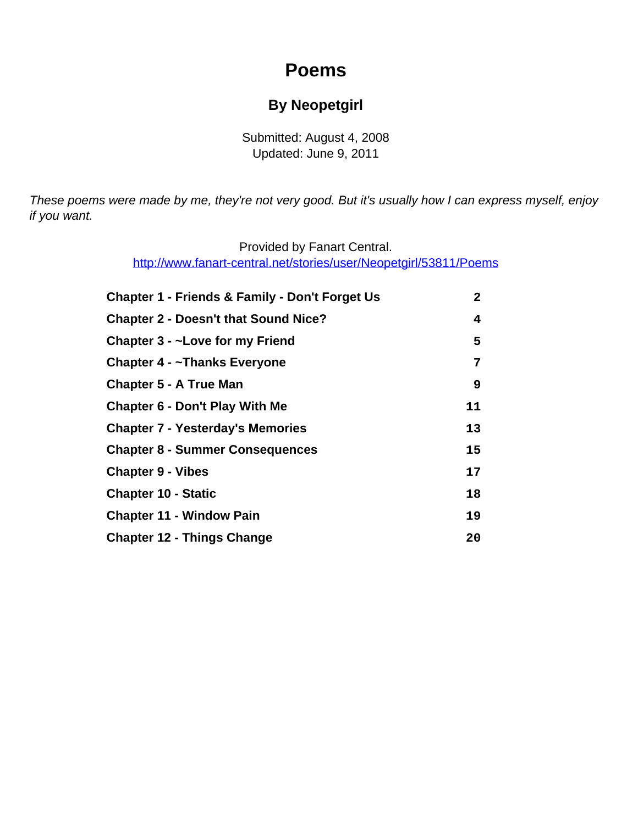# **Poems**

### **By Neopetgirl**

Submitted: August 4, 2008 Updated: June 9, 2011

<span id="page-0-0"></span>These poems were made by me, they're not very good. But it's usually how I can express myself, enjoy if you want.

> Provided by Fanart Central. [http://www.fanart-central.net/stories/user/Neopetgirl/53811/Poems](#page-0-0)

| <b>Chapter 1 - Friends &amp; Family - Don't Forget Us</b> | 2  |
|-----------------------------------------------------------|----|
| <b>Chapter 2 - Doesn't that Sound Nice?</b>               | 4  |
| Chapter 3 - ~Love for my Friend                           | 5  |
| Chapter 4 - ~Thanks Everyone                              | 7  |
| <b>Chapter 5 - A True Man</b>                             | 9  |
| <b>Chapter 6 - Don't Play With Me</b>                     | 11 |
| <b>Chapter 7 - Yesterday's Memories</b>                   | 13 |
| <b>Chapter 8 - Summer Consequences</b>                    | 15 |
| <b>Chapter 9 - Vibes</b>                                  | 17 |
| <b>Chapter 10 - Static</b>                                | 18 |
| <b>Chapter 11 - Window Pain</b>                           | 19 |
| <b>Chapter 12 - Things Change</b>                         | 20 |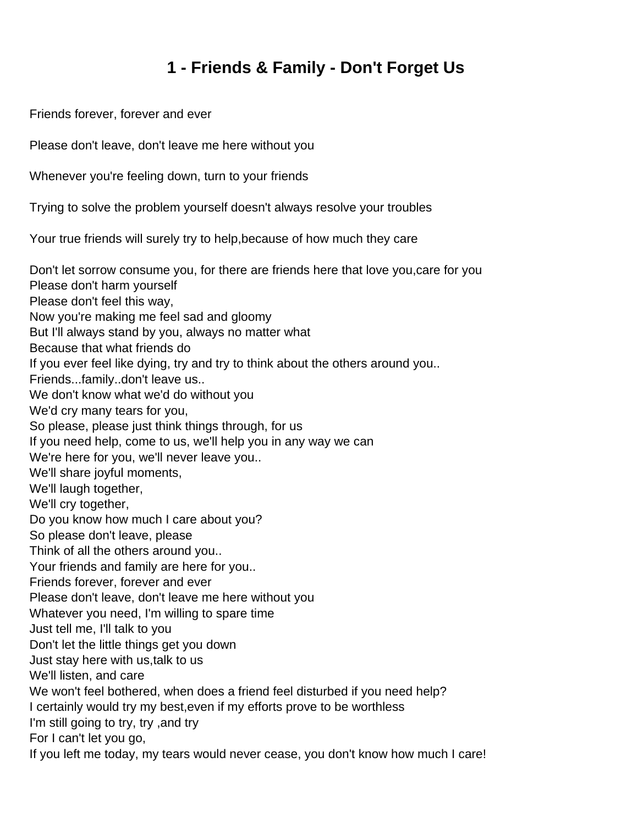# **1 - Friends & Family - Don't Forget Us**

<span id="page-1-0"></span>Friends forever, forever and ever

Please don't leave, don't leave me here without you

Whenever you're feeling down, turn to your friends

Trying to solve the problem yourself doesn't always resolve your troubles

Your true friends will surely try to help,because of how much they care

Don't let sorrow consume you, for there are friends here that love you,care for you Please don't harm yourself Please don't feel this way, Now you're making me feel sad and gloomy But I'll always stand by you, always no matter what Because that what friends do If you ever feel like dying, try and try to think about the others around you.. Friends...family..don't leave us.. We don't know what we'd do without you We'd cry many tears for you, So please, please just think things through, for us If you need help, come to us, we'll help you in any way we can We're here for you, we'll never leave you.. We'll share joyful moments, We'll laugh together, We'll cry together, Do you know how much I care about you? So please don't leave, please Think of all the others around you.. Your friends and family are here for you.. Friends forever, forever and ever Please don't leave, don't leave me here without you Whatever you need, I'm willing to spare time Just tell me, I'll talk to you Don't let the little things get you down Just stay here with us,talk to us We'll listen, and care We won't feel bothered, when does a friend feel disturbed if you need help? I certainly would try my best,even if my efforts prove to be worthless I'm still going to try, try ,and try For I can't let you go, If you left me today, my tears would never cease, you don't know how much I care!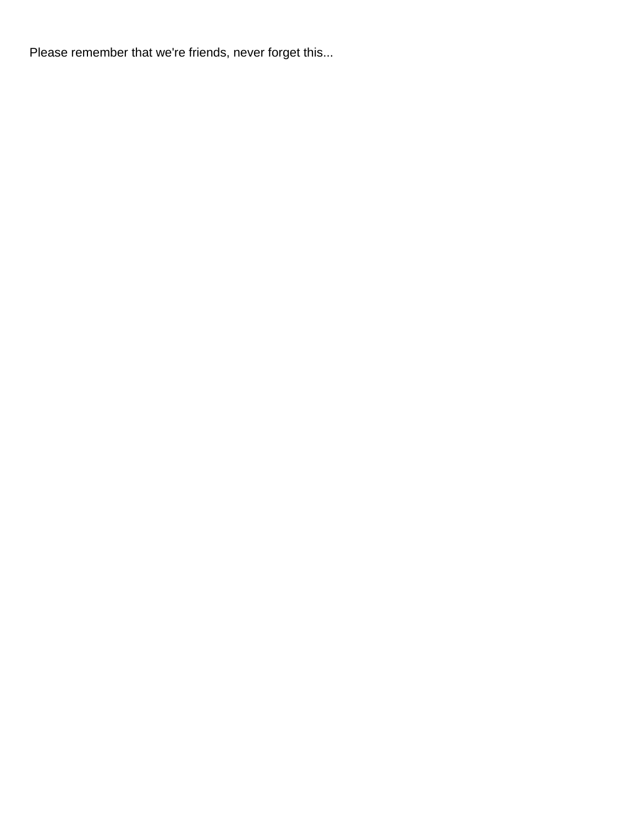Please remember that we're friends, never forget this...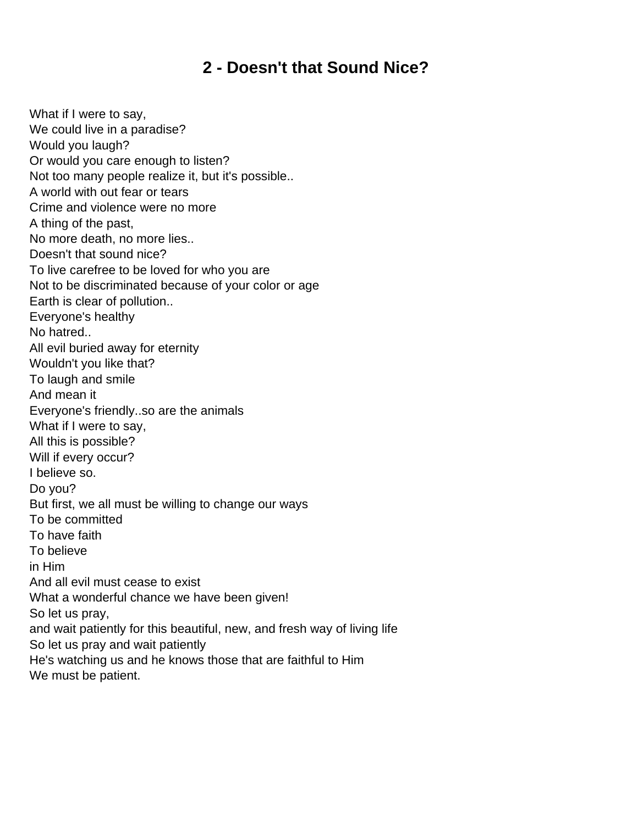# **2 - Doesn't that Sound Nice?**

<span id="page-3-0"></span>What if I were to say, We could live in a paradise? Would you laugh? Or would you care enough to listen? Not too many people realize it, but it's possible.. A world with out fear or tears Crime and violence were no more A thing of the past, No more death, no more lies.. Doesn't that sound nice? To live carefree to be loved for who you are Not to be discriminated because of your color or age Earth is clear of pollution.. Everyone's healthy No hatred.. All evil buried away for eternity Wouldn't you like that? To laugh and smile And mean it Everyone's friendly..so are the animals What if I were to say, All this is possible? Will if every occur? I believe so. Do you? But first, we all must be willing to change our ways To be committed To have faith To believe in Him And all evil must cease to exist What a wonderful chance we have been given! So let us pray, and wait patiently for this beautiful, new, and fresh way of living life So let us pray and wait patiently He's watching us and he knows those that are faithful to Him We must be patient.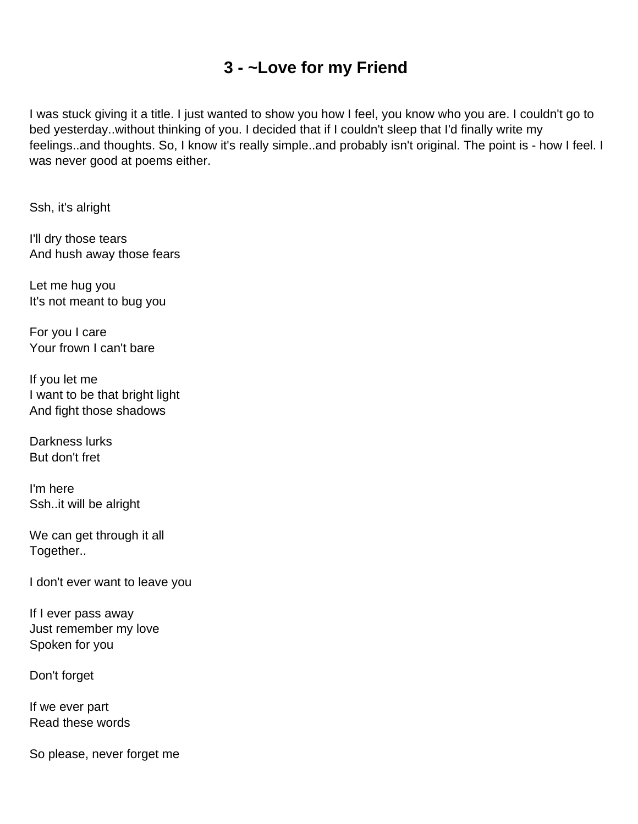# **3 - ~Love for my Friend**

<span id="page-4-0"></span>I was stuck giving it a title. I just wanted to show you how I feel, you know who you are. I couldn't go to bed yesterday..without thinking of you. I decided that if I couldn't sleep that I'd finally write my feelings..and thoughts. So, I know it's really simple..and probably isn't original. The point is - how I feel. I was never good at poems either.

Ssh, it's alright

I'll dry those tears And hush away those fears

Let me hug you It's not meant to bug you

For you I care Your frown I can't bare

If you let me I want to be that bright light And fight those shadows

Darkness lurks But don't fret

I'm here Ssh..it will be alright

We can get through it all Together..

I don't ever want to leave you

If I ever pass away Just remember my love Spoken for you

Don't forget

If we ever part Read these words

So please, never forget me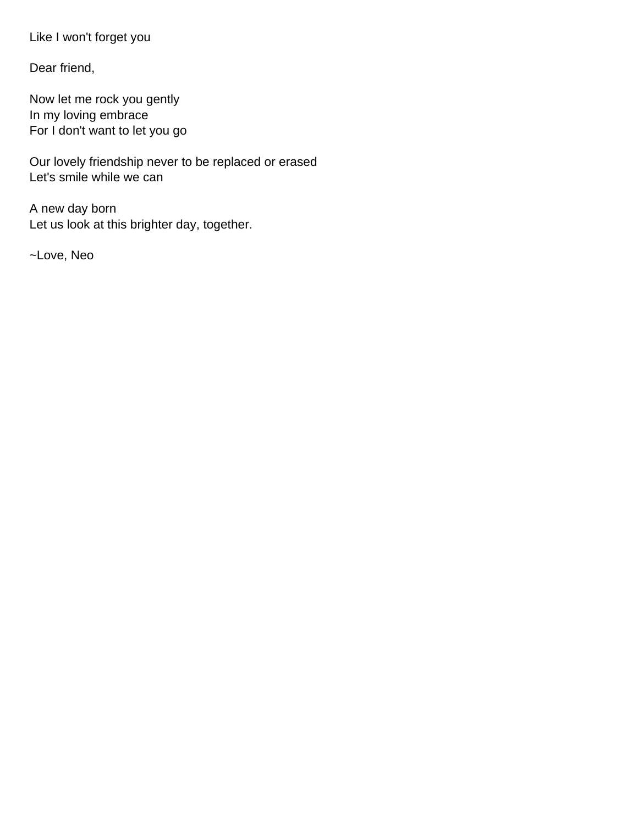Like I won't forget you

Dear friend,

Now let me rock you gently In my loving embrace For I don't want to let you go

Our lovely friendship never to be replaced or erased Let's smile while we can

A new day born Let us look at this brighter day, together.

~Love, Neo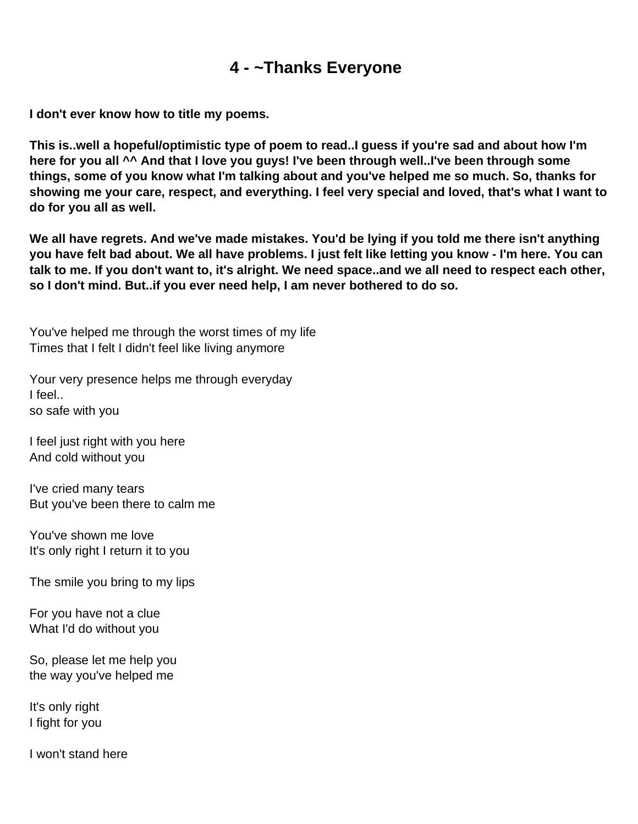# **4 - ~Thanks Everyone**

<span id="page-6-0"></span>**I don't ever know how to title my poems.**

**This is..well a hopeful/optimistic type of poem to read..I guess if you're sad and about how I'm here for you all ^^ And that I love you guys! I've been through well..I've been through some things, some of you know what I'm talking about and you've helped me so much. So, thanks for showing me your care, respect, and everything. I feel very special and loved, that's what I want to do for you all as well.**

**We all have regrets. And we've made mistakes. You'd be lying if you told me there isn't anything you have felt bad about. We all have problems. I just felt like letting you know - I'm here. You can talk to me. If you don't want to, it's alright. We need space..and we all need to respect each other, so I don't mind. But..if you ever need help, I am never bothered to do so.**

You've helped me through the worst times of my life Times that I felt I didn't feel like living anymore

Your very presence helps me through everyday I feel.. so safe with you

I feel just right with you here And cold without you

I've cried many tears But you've been there to calm me

You've shown me love It's only right I return it to you

The smile you bring to my lips

For you have not a clue What I'd do without you

So, please let me help you the way you've helped me

It's only right I fight for you

I won't stand here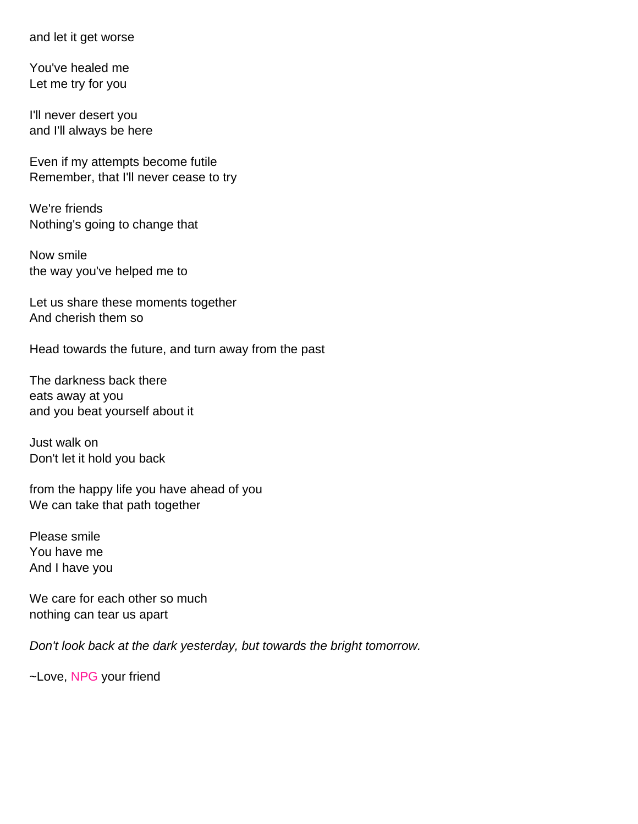and let it get worse

You've healed me Let me try for you

I'll never desert you and I'll always be here

Even if my attempts become futile Remember, that I'll never cease to try

We're friends Nothing's going to change that

Now smile the way you've helped me to

Let us share these moments together And cherish them so

Head towards the future, and turn away from the past

The darkness back there eats away at you and you beat yourself about it

Just walk on Don't let it hold you back

from the happy life you have ahead of you We can take that path together

Please smile You have me And I have you

We care for each other so much nothing can tear us apart

Don't look back at the dark yesterday, but towards the bright tomorrow.

~Love, NPG your friend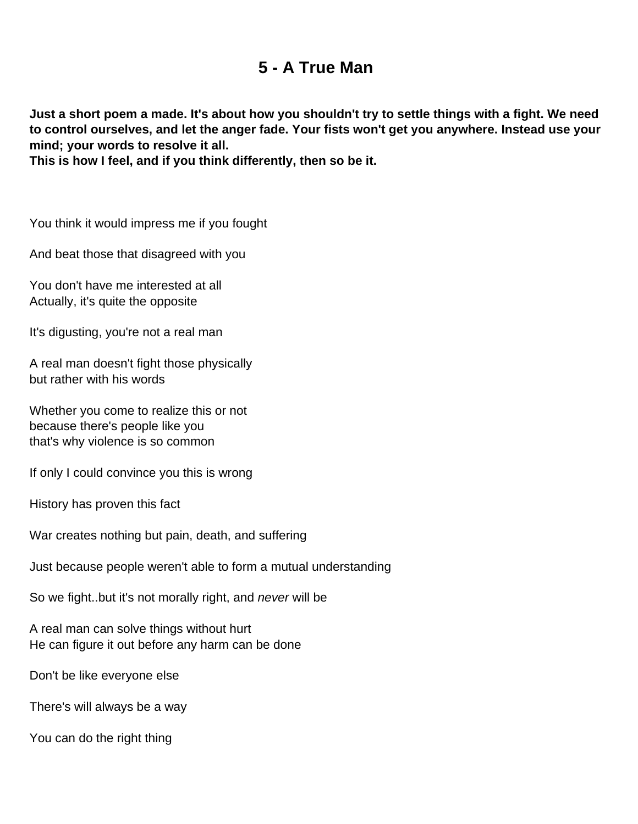# **5 - A True Man**

<span id="page-8-0"></span>**Just a short poem a made. It's about how you shouldn't try to settle things with a fight. We need to control ourselves, and let the anger fade. Your fists won't get you anywhere. Instead use your mind; your words to resolve it all.**

**This is how I feel, and if you think differently, then so be it.** 

You think it would impress me if you fought

And beat those that disagreed with you

You don't have me interested at all Actually, it's quite the opposite

It's digusting, you're not a real man

A real man doesn't fight those physically but rather with his words

Whether you come to realize this or not because there's people like you that's why violence is so common

If only I could convince you this is wrong

History has proven this fact

War creates nothing but pain, death, and suffering

Just because people weren't able to form a mutual understanding

So we fight..but it's not morally right, and *never* will be

A real man can solve things without hurt He can figure it out before any harm can be done

Don't be like everyone else

There's will always be a way

You can do the right thing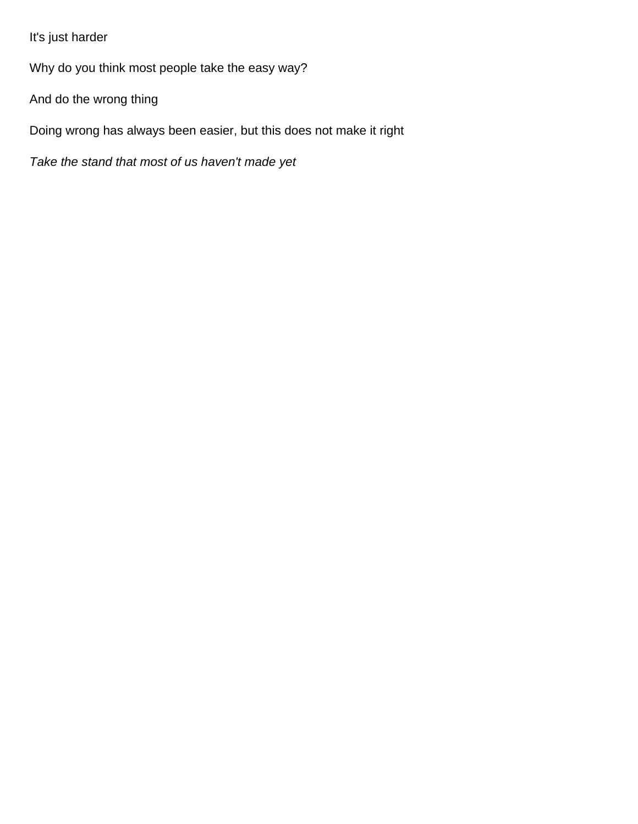It's just harder

Why do you think most people take the easy way?

And do the wrong thing

Doing wrong has always been easier, but this does not make it right

Take the stand that most of us haven't made yet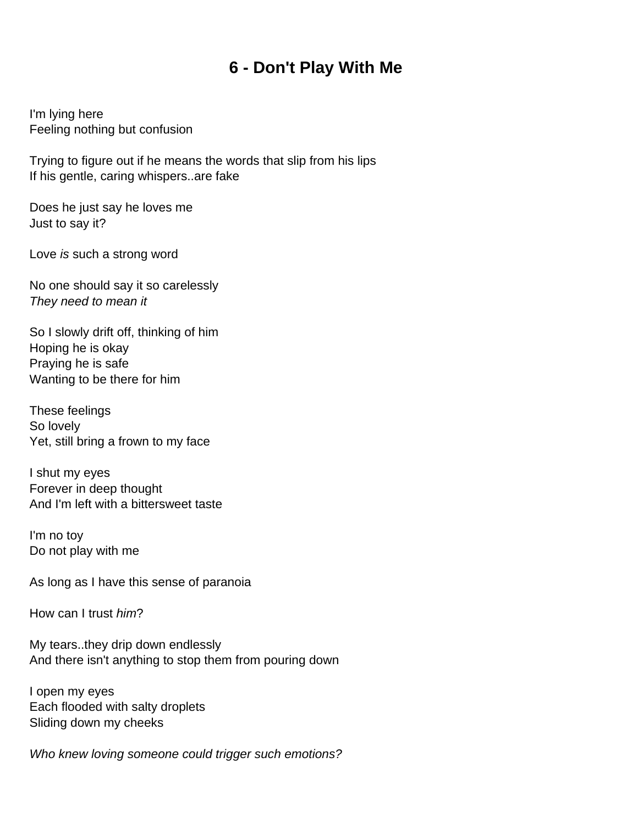### **6 - Don't Play With Me**

<span id="page-10-0"></span>I'm lying here Feeling nothing but confusion

Trying to figure out if he means the words that slip from his lips If his gentle, caring whispers..are fake

Does he just say he loves me Just to say it?

Love is such a strong word

No one should say it so carelessly They need to mean it

So I slowly drift off, thinking of him Hoping he is okay Praying he is safe Wanting to be there for him

These feelings So lovely Yet, still bring a frown to my face

I shut my eyes Forever in deep thought And I'm left with a bittersweet taste

I'm no toy Do not play with me

As long as I have this sense of paranoia

How can I trust him?

My tears..they drip down endlessly And there isn't anything to stop them from pouring down

I open my eyes Each flooded with salty droplets Sliding down my cheeks

Who knew loving someone could trigger such emotions?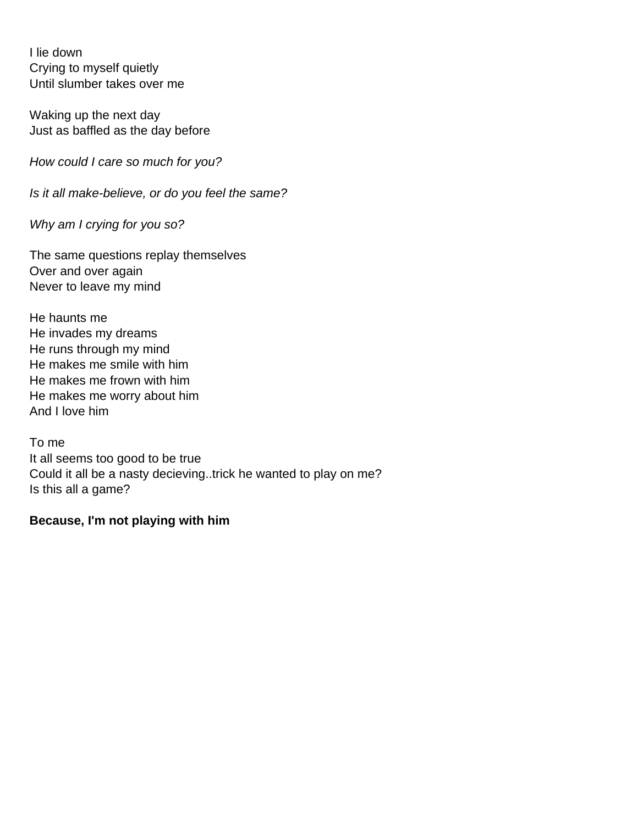I lie down Crying to myself quietly Until slumber takes over me

Waking up the next day Just as baffled as the day before

How could I care so much for you?

Is it all make-believe, or do you feel the same?

Why am I crying for you so?

The same questions replay themselves Over and over again Never to leave my mind

He haunts me He invades my dreams He runs through my mind He makes me smile with him He makes me frown with him He makes me worry about him And I love him

To me It all seems too good to be true Could it all be a nasty decieving..trick he wanted to play on me? Is this all a game?

#### **Because, I'm not playing with him**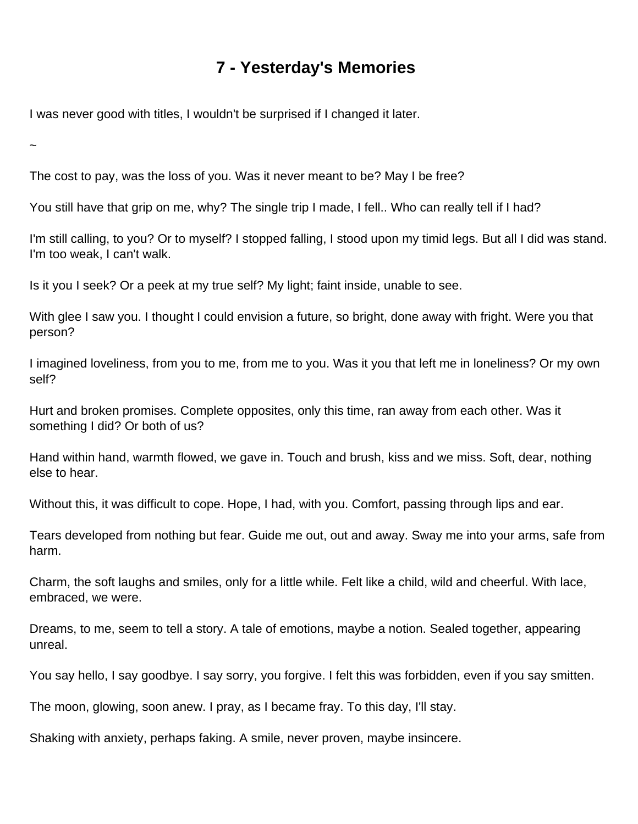# **7 - Yesterday's Memories**

<span id="page-12-0"></span>I was never good with titles, I wouldn't be surprised if I changed it later.

~

The cost to pay, was the loss of you. Was it never meant to be? May I be free?

You still have that grip on me, why? The single trip I made, I fell.. Who can really tell if I had?

I'm still calling, to you? Or to myself? I stopped falling, I stood upon my timid legs. But all I did was stand. I'm too weak, I can't walk.

Is it you I seek? Or a peek at my true self? My light; faint inside, unable to see.

With glee I saw you. I thought I could envision a future, so bright, done away with fright. Were you that person?

I imagined loveliness, from you to me, from me to you. Was it you that left me in loneliness? Or my own self?

Hurt and broken promises. Complete opposites, only this time, ran away from each other. Was it something I did? Or both of us?

Hand within hand, warmth flowed, we gave in. Touch and brush, kiss and we miss. Soft, dear, nothing else to hear.

Without this, it was difficult to cope. Hope, I had, with you. Comfort, passing through lips and ear.

Tears developed from nothing but fear. Guide me out, out and away. Sway me into your arms, safe from harm.

Charm, the soft laughs and smiles, only for a little while. Felt like a child, wild and cheerful. With lace, embraced, we were.

Dreams, to me, seem to tell a story. A tale of emotions, maybe a notion. Sealed together, appearing unreal.

You say hello, I say goodbye. I say sorry, you forgive. I felt this was forbidden, even if you say smitten.

The moon, glowing, soon anew. I pray, as I became fray. To this day, I'll stay.

Shaking with anxiety, perhaps faking. A smile, never proven, maybe insincere.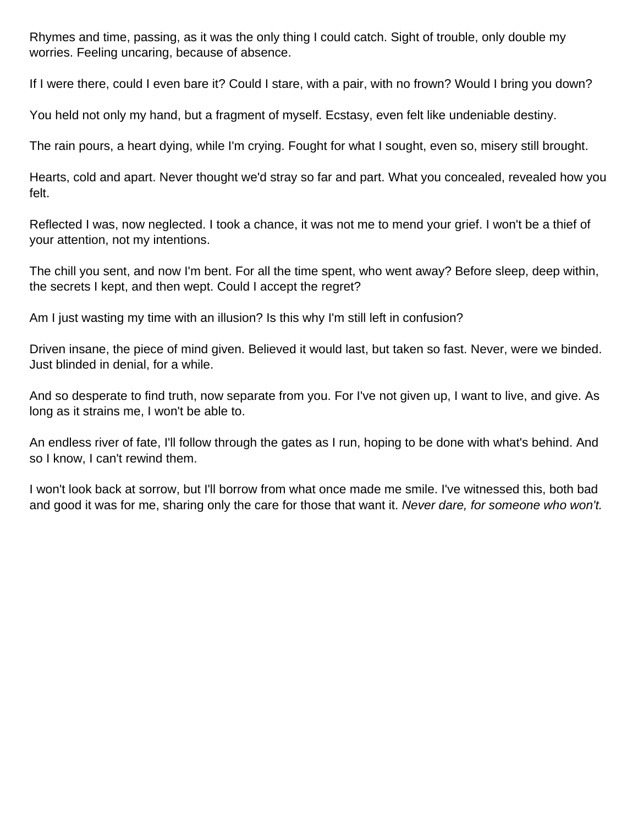Rhymes and time, passing, as it was the only thing I could catch. Sight of trouble, only double my worries. Feeling uncaring, because of absence.

If I were there, could I even bare it? Could I stare, with a pair, with no frown? Would I bring you down?

You held not only my hand, but a fragment of myself. Ecstasy, even felt like undeniable destiny.

The rain pours, a heart dying, while I'm crying. Fought for what I sought, even so, misery still brought.

Hearts, cold and apart. Never thought we'd stray so far and part. What you concealed, revealed how you felt.

Reflected I was, now neglected. I took a chance, it was not me to mend your grief. I won't be a thief of your attention, not my intentions.

The chill you sent, and now I'm bent. For all the time spent, who went away? Before sleep, deep within, the secrets I kept, and then wept. Could I accept the regret?

Am I just wasting my time with an illusion? Is this why I'm still left in confusion?

Driven insane, the piece of mind given. Believed it would last, but taken so fast. Never, were we binded. Just blinded in denial, for a while.

And so desperate to find truth, now separate from you. For I've not given up, I want to live, and give. As long as it strains me, I won't be able to.

An endless river of fate, I'll follow through the gates as I run, hoping to be done with what's behind. And so I know, I can't rewind them.

I won't look back at sorrow, but I'll borrow from what once made me smile. I've witnessed this, both bad and good it was for me, sharing only the care for those that want it. Never dare, for someone who won't.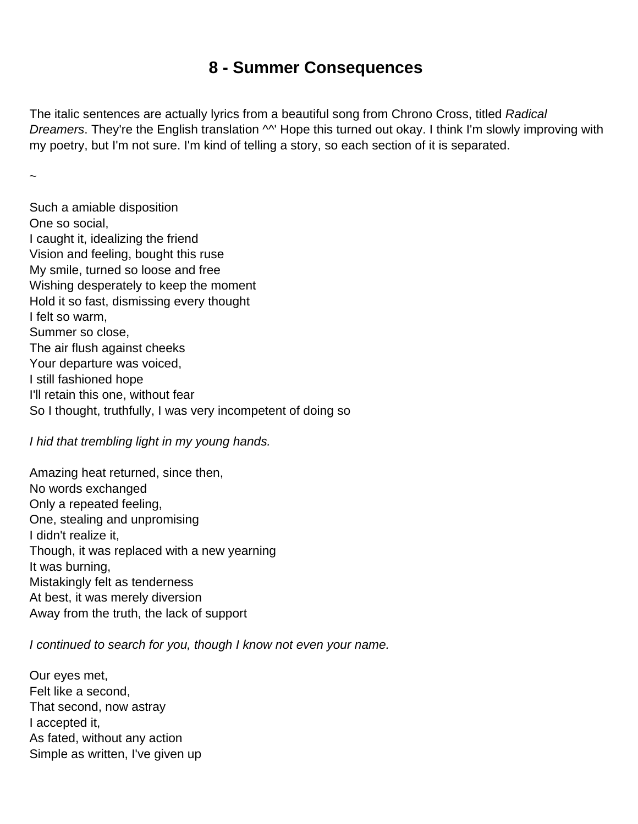# **8 - Summer Consequences**

<span id="page-14-0"></span>The italic sentences are actually lyrics from a beautiful song from Chrono Cross, titled Radical Dreamers. They're the English translation ^^' Hope this turned out okay. I think I'm slowly improving with my poetry, but I'm not sure. I'm kind of telling a story, so each section of it is separated.

~

Such a amiable disposition One so social, I caught it, idealizing the friend Vision and feeling, bought this ruse My smile, turned so loose and free Wishing desperately to keep the moment Hold it so fast, dismissing every thought I felt so warm, Summer so close, The air flush against cheeks Your departure was voiced, I still fashioned hope I'll retain this one, without fear So I thought, truthfully, I was very incompetent of doing so

I hid that trembling light in my young hands.

Amazing heat returned, since then, No words exchanged Only a repeated feeling, One, stealing and unpromising I didn't realize it, Though, it was replaced with a new yearning It was burning, Mistakingly felt as tenderness At best, it was merely diversion Away from the truth, the lack of support

I continued to search for you, though I know not even your name.

Our eyes met, Felt like a second, That second, now astray I accepted it, As fated, without any action Simple as written, I've given up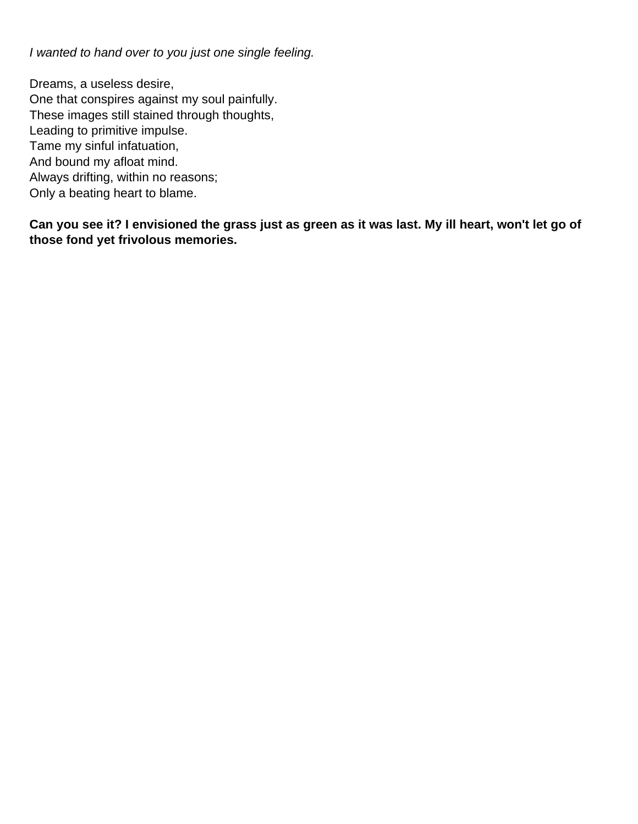I wanted to hand over to you just one single feeling.

Dreams, a useless desire, One that conspires against my soul painfully. These images still stained through thoughts, Leading to primitive impulse. Tame my sinful infatuation, And bound my afloat mind. Always drifting, within no reasons; Only a beating heart to blame.

**Can you see it? I envisioned the grass just as green as it was last. My ill heart, won't let go of those fond yet frivolous memories.**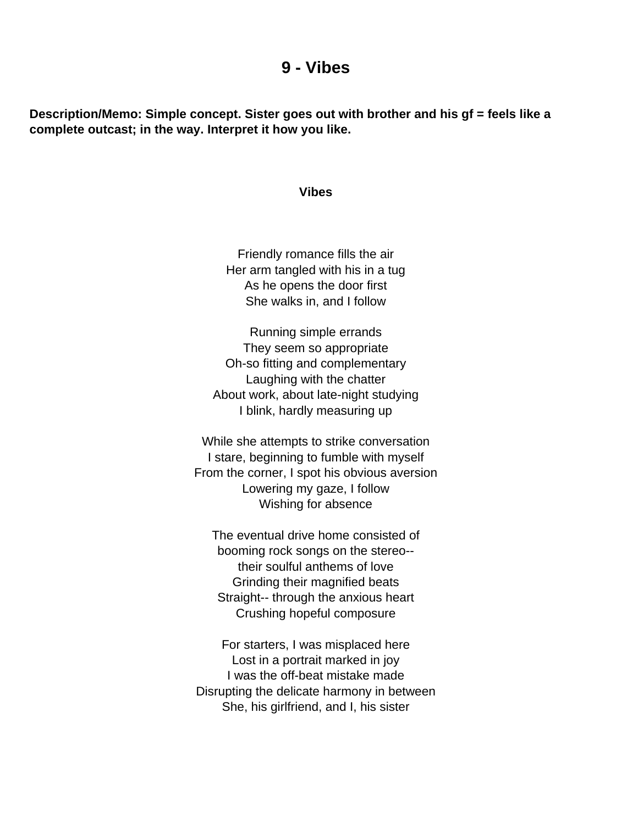#### **9 - Vibes**

<span id="page-16-0"></span>**Description/Memo: Simple concept. Sister goes out with brother and his gf = feels like a complete outcast; in the way. Interpret it how you like.**

#### **Vibes**

Friendly romance fills the air Her arm tangled with his in a tug As he opens the door first She walks in, and I follow

Running simple errands They seem so appropriate Oh-so fitting and complementary Laughing with the chatter About work, about late-night studying I blink, hardly measuring up

While she attempts to strike conversation I stare, beginning to fumble with myself From the corner, I spot his obvious aversion Lowering my gaze, I follow Wishing for absence

The eventual drive home consisted of booming rock songs on the stereo- their soulful anthems of love Grinding their magnified beats Straight-- through the anxious heart Crushing hopeful composure

For starters, I was misplaced here Lost in a portrait marked in joy I was the off-beat mistake made Disrupting the delicate harmony in between She, his girlfriend, and I, his sister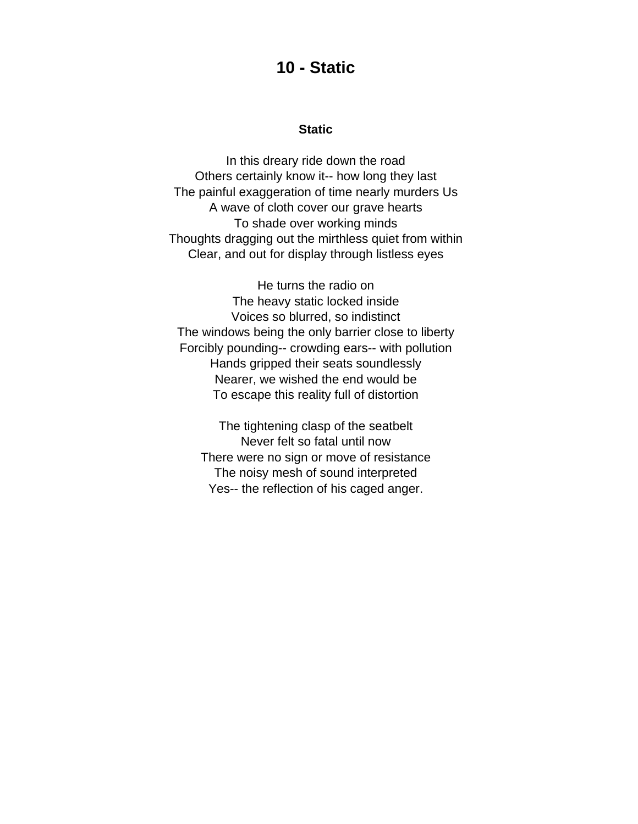#### **10 - Static**

#### **Static**

<span id="page-17-0"></span>In this dreary ride down the road Others certainly know it-- how long they last The painful exaggeration of time nearly murders Us A wave of cloth cover our grave hearts To shade over working minds Thoughts dragging out the mirthless quiet from within Clear, and out for display through listless eyes

He turns the radio on The heavy static locked inside Voices so blurred, so indistinct The windows being the only barrier close to liberty Forcibly pounding-- crowding ears-- with pollution Hands gripped their seats soundlessly Nearer, we wished the end would be To escape this reality full of distortion

The tightening clasp of the seatbelt Never felt so fatal until now There were no sign or move of resistance The noisy mesh of sound interpreted Yes-- the reflection of his caged anger.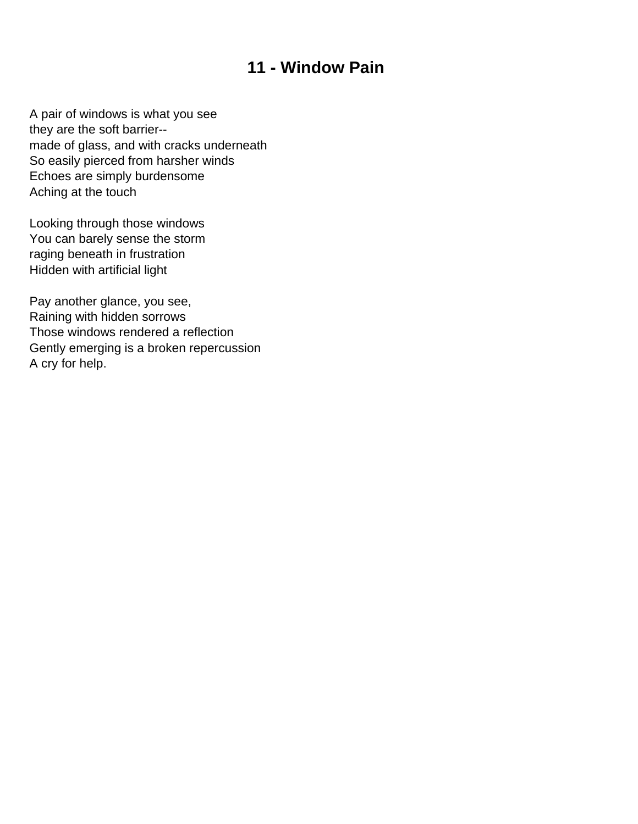# **11 - Window Pain**

<span id="page-18-0"></span>A pair of windows is what you see they are the soft barrier- made of glass, and with cracks underneath So easily pierced from harsher winds Echoes are simply burdensome Aching at the touch

Looking through those windows You can barely sense the storm raging beneath in frustration Hidden with artificial light

Pay another glance, you see, Raining with hidden sorrows Those windows rendered a reflection Gently emerging is a broken repercussion A cry for help.